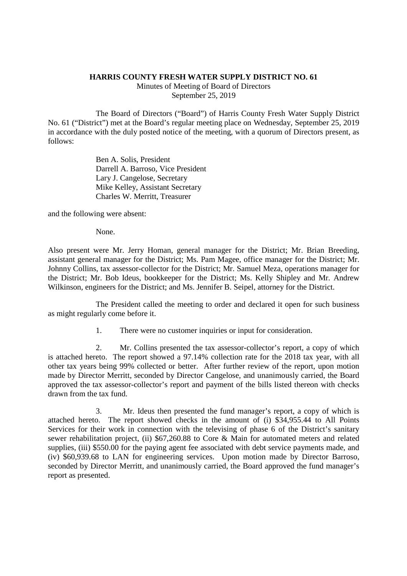## **HARRIS COUNTY FRESH WATER SUPPLY DISTRICT NO. 61**

Minutes of Meeting of Board of Directors September 25, 2019

The Board of Directors ("Board") of Harris County Fresh Water Supply District No. 61 ("District") met at the Board's regular meeting place on Wednesday, September 25, 2019 in accordance with the duly posted notice of the meeting, with a quorum of Directors present, as follows:

> Ben A. Solis, President Darrell A. Barroso, Vice President Lary J. Cangelose, Secretary Mike Kelley, Assistant Secretary Charles W. Merritt, Treasurer

and the following were absent:

None.

Also present were Mr. Jerry Homan, general manager for the District; Mr. Brian Breeding, assistant general manager for the District; Ms. Pam Magee, office manager for the District; Mr. Johnny Collins, tax assessor-collector for the District; Mr. Samuel Meza, operations manager for the District; Mr. Bob Ideus, bookkeeper for the District; Ms. Kelly Shipley and Mr. Andrew Wilkinson, engineers for the District; and Ms. Jennifer B. Seipel, attorney for the District.

The President called the meeting to order and declared it open for such business as might regularly come before it.

1. There were no customer inquiries or input for consideration.

2. Mr. Collins presented the tax assessor-collector's report, a copy of which is attached hereto. The report showed a 97.14% collection rate for the 2018 tax year, with all other tax years being 99% collected or better. After further review of the report, upon motion made by Director Merritt, seconded by Director Cangelose, and unanimously carried, the Board approved the tax assessor-collector's report and payment of the bills listed thereon with checks drawn from the tax fund.

3. Mr. Ideus then presented the fund manager's report, a copy of which is attached hereto. The report showed checks in the amount of (i) \$34,955.44 to All Points Services for their work in connection with the televising of phase 6 of the District's sanitary sewer rehabilitation project, (ii) \$67,260.88 to Core & Main for automated meters and related supplies, (iii) \$550.00 for the paying agent fee associated with debt service payments made, and (iv) \$60,939.68 to LAN for engineering services. Upon motion made by Director Barroso, seconded by Director Merritt, and unanimously carried, the Board approved the fund manager's report as presented.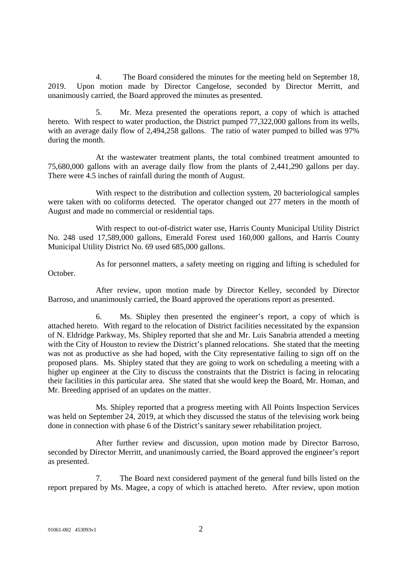4. The Board considered the minutes for the meeting held on September 18, 2019. Upon motion made by Director Cangelose, seconded by Director Merritt, and unanimously carried, the Board approved the minutes as presented.

5. Mr. Meza presented the operations report, a copy of which is attached hereto. With respect to water production, the District pumped 77,322,000 gallons from its wells, with an average daily flow of 2,494,258 gallons. The ratio of water pumped to billed was 97% during the month.

At the wastewater treatment plants, the total combined treatment amounted to 75,680,000 gallons with an average daily flow from the plants of 2,441,290 gallons per day. There were 4.5 inches of rainfall during the month of August.

With respect to the distribution and collection system, 20 bacteriological samples were taken with no coliforms detected. The operator changed out 277 meters in the month of August and made no commercial or residential taps.

With respect to out-of-district water use, Harris County Municipal Utility District No. 248 used 17,589,000 gallons, Emerald Forest used 160,000 gallons, and Harris County Municipal Utility District No. 69 used 685,000 gallons.

As for personnel matters, a safety meeting on rigging and lifting is scheduled for October.

After review, upon motion made by Director Kelley, seconded by Director Barroso, and unanimously carried, the Board approved the operations report as presented.

6. Ms. Shipley then presented the engineer's report, a copy of which is attached hereto. With regard to the relocation of District facilities necessitated by the expansion of N. Eldridge Parkway, Ms. Shipley reported that she and Mr. Luis Sanabria attended a meeting with the City of Houston to review the District's planned relocations. She stated that the meeting was not as productive as she had hoped, with the City representative failing to sign off on the proposed plans. Ms. Shipley stated that they are going to work on scheduling a meeting with a higher up engineer at the City to discuss the constraints that the District is facing in relocating their facilities in this particular area. She stated that she would keep the Board, Mr. Homan, and Mr. Breeding apprised of an updates on the matter.

Ms. Shipley reported that a progress meeting with All Points Inspection Services was held on September 24, 2019, at which they discussed the status of the televising work being done in connection with phase 6 of the District's sanitary sewer rehabilitation project.

After further review and discussion, upon motion made by Director Barroso, seconded by Director Merritt, and unanimously carried, the Board approved the engineer's report as presented.

7. The Board next considered payment of the general fund bills listed on the report prepared by Ms. Magee, a copy of which is attached hereto. After review, upon motion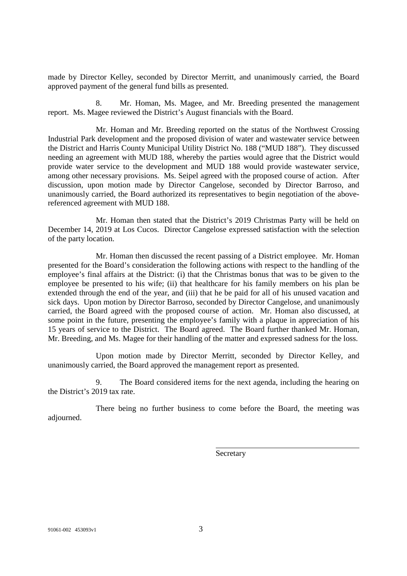made by Director Kelley, seconded by Director Merritt, and unanimously carried, the Board approved payment of the general fund bills as presented.

Mr. Homan, Ms. Magee, and Mr. Breeding presented the management report. Ms. Magee reviewed the District's August financials with the Board.

Mr. Homan and Mr. Breeding reported on the status of the Northwest Crossing Industrial Park development and the proposed division of water and wastewater service between the District and Harris County Municipal Utility District No. 188 ("MUD 188"). They discussed needing an agreement with MUD 188, whereby the parties would agree that the District would provide water service to the development and MUD 188 would provide wastewater service, among other necessary provisions. Ms. Seipel agreed with the proposed course of action. After discussion, upon motion made by Director Cangelose, seconded by Director Barroso, and unanimously carried, the Board authorized its representatives to begin negotiation of the abovereferenced agreement with MUD 188.

Mr. Homan then stated that the District's 2019 Christmas Party will be held on December 14, 2019 at Los Cucos. Director Cangelose expressed satisfaction with the selection of the party location.

Mr. Homan then discussed the recent passing of a District employee. Mr. Homan presented for the Board's consideration the following actions with respect to the handling of the employee's final affairs at the District: (i) that the Christmas bonus that was to be given to the employee be presented to his wife; (ii) that healthcare for his family members on his plan be extended through the end of the year, and (iii) that he be paid for all of his unused vacation and sick days. Upon motion by Director Barroso, seconded by Director Cangelose, and unanimously carried, the Board agreed with the proposed course of action. Mr. Homan also discussed, at some point in the future, presenting the employee's family with a plaque in appreciation of his 15 years of service to the District. The Board agreed. The Board further thanked Mr. Homan, Mr. Breeding, and Ms. Magee for their handling of the matter and expressed sadness for the loss.

Upon motion made by Director Merritt, seconded by Director Kelley, and unanimously carried, the Board approved the management report as presented.

9. The Board considered items for the next agenda, including the hearing on the District's 2019 tax rate.

There being no further business to come before the Board, the meeting was adjourned.

**Secretary**